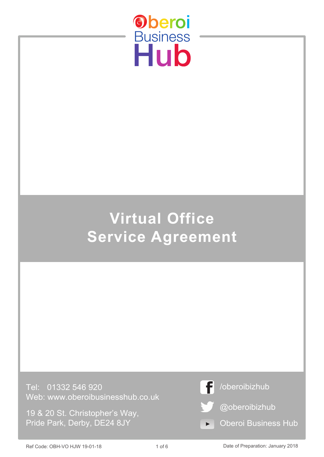

# **Virtual Office Service Agreement**

Tel: 01332 546 920 Web: www.oberoibusinesshub.co.uk

19 & 20 St. Christopher's Way, Pride Park, Derby, DE24 8JY



Ref Code: OBH-VO HJW 19-01-18 **Date of Preparation: January 2018** 2018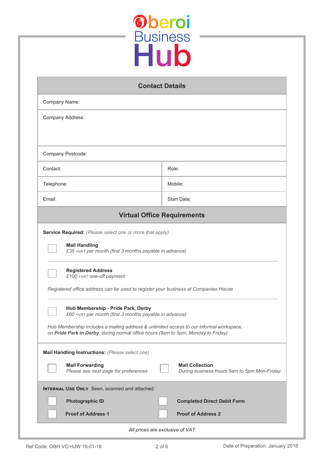

| <b>Contact Details</b>                                                                  |                                                                                                                                                                              |  |
|-----------------------------------------------------------------------------------------|------------------------------------------------------------------------------------------------------------------------------------------------------------------------------|--|
| Company Name:                                                                           |                                                                                                                                                                              |  |
| Company Address:                                                                        |                                                                                                                                                                              |  |
|                                                                                         |                                                                                                                                                                              |  |
| Company Postcode:                                                                       |                                                                                                                                                                              |  |
| Contact:                                                                                | Role:                                                                                                                                                                        |  |
| Telephone:                                                                              | Mobile:                                                                                                                                                                      |  |
| Email:                                                                                  | Start Date:                                                                                                                                                                  |  |
| <b>Virtual Office Requirements</b>                                                      |                                                                                                                                                                              |  |
| <b>Service Required:</b> (Please select one or more that apply)<br><b>Mail Handling</b> | £35 + vat per month (first 3 months payable in advance)                                                                                                                      |  |
| <b>Registered Address</b><br>£100 + VAT one-off payment                                 | Registered office address can be used to register your business at Companies House                                                                                           |  |
| Hub Membership - Pride Park, Derby                                                      | £60 + VAT per month (first 3 months payable in advance)                                                                                                                      |  |
|                                                                                         | Hub Membership includes a mailing address & unlimited access to our informal workspace,<br>on Pride Park in Derby, during normal office hours (9am to 5pm, Monday to Friday) |  |
| Mail Handling Instructions: (Please select one)                                         |                                                                                                                                                                              |  |
| <b>Mail Forwarding</b><br>Please see next page for preferences                          | <b>Mail Collection</b><br>During business hours 9am to 5pm Mon-Friday                                                                                                        |  |
| <b>INTERNAL USE ONLY</b> Seen, scanned and attached:                                    |                                                                                                                                                                              |  |
| <b>Photographic ID</b><br><b>Proof of Address 1</b>                                     | <b>Completed Direct Debit Form</b><br><b>Proof of Address 2</b>                                                                                                              |  |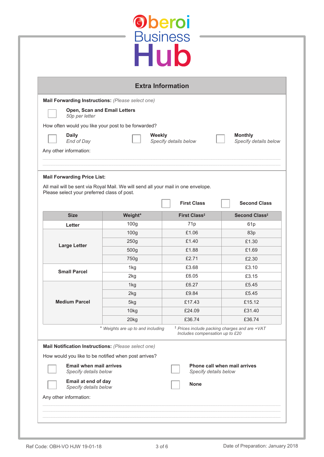| <b>Monthly</b><br>Specify details below<br><b>Second Class</b>     |
|--------------------------------------------------------------------|
|                                                                    |
|                                                                    |
|                                                                    |
|                                                                    |
|                                                                    |
|                                                                    |
| Second Class <sup>#</sup>                                          |
| 61 <sub>p</sub>                                                    |
| 83p                                                                |
| £1.30                                                              |
| £1.69                                                              |
| £2.30                                                              |
| £3.10                                                              |
| £3.15                                                              |
| £5.45                                                              |
| £5.45<br>£15.12                                                    |
|                                                                    |
|                                                                    |
| £31.40                                                             |
| £36.74<br><sup>‡</sup> Prices include packing charges and are +VAT |
| Includes compensation up to £20                                    |
|                                                                    |
|                                                                    |
| Phone call when mail arrives                                       |
|                                                                    |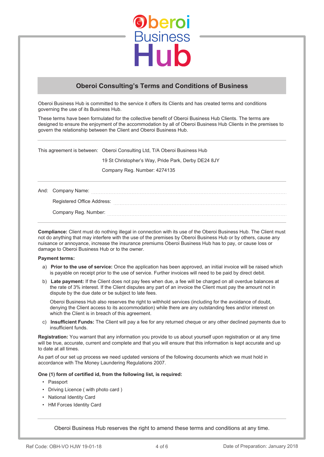

### **Oberoi Consulting's Terms and Conditions of Business**

Oberoi Business Hub is committed to the service it offers its Clients and has created terms and conditions governing the use of its Business Hub.

These terms have been formulated for the collective benefit of Oberoi Business Hub Clients. The terms are designed to ensure the enjoyment of the accommodation by all of Oberoi Business Hub Clients in the premises to govern the relationship between the Client and Oberoi Business Hub.

This agreement is between: Oberoi Consulting Ltd, T/A Oberoi Business Hub

19 St Christopher's Way, Pride Park, Derby DE24 8JY

Company Reg. Number: 4274135

And: Company Name: Registered Office Address: www.communications.communications.com Company Reg. Number: **company Reg.** Number:

**Compliance:** Client must do nothing illegal in connection with its use of the Oberoi Business Hub. The Client must not do anything that may interfere with the use of the premises by Oberoi Business Hub or by others, cause any nuisance or annoyance, increase the insurance premiums Oberoi Business Hub has to pay, or cause loss or damage to Oberoi Business Hub or to the owner.

#### **Payment terms:**

- a) **Prior to the use of service:** Once the application has been approved, an initial invoice will be raised which is payable on receipt prior to the use of service. Further invoices will need to be paid by direct debit.
- b) **Late payment:** If the Client does not pay fees when due, a fee will be charged on all overdue balances at the rate of 3% interest. If the Client disputes any part of an invoice the Client must pay the amount not in dispute by the due date or be subject to late fees.

Oberoi Business Hub also reserves the right to withhold services (including for the avoidance of doubt, denying the Client access to its accommodation) while there are any outstanding fees and/or interest on which the Client is in breach of this agreement.

c) **Insufficient Funds:** The Client will pay a fee for any returned cheque or any other declined payments due to insufficient funds.

**Registration:** You warrant that any information you provide to us about yourself upon registration or at any time will be true, accurate, current and complete and that you will ensure that this information is kept accurate and up to date at all times.

As part of our set up process we need updated versions of the following documents which we must hold in accordance with The Money Laundering Regulations 2007.

#### **One (1) form of certified id, from the following list, is required:**

- Passport
- Driving Licence ( with photo card )
- National Identity Card
- HM Forces Identity Card

Oberoi Business Hub reserves the right to amend these terms and conditions at any time.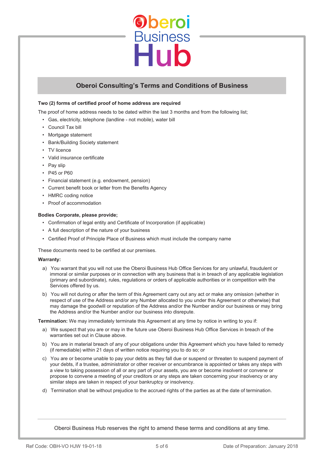

## **Oberoi Consulting's Terms and Conditions of Business**

#### **Two (2) forms of certified proof of home address are required**

The proof of home address needs to be dated within the last 3 months and from the following list;

- Gas, electricity, telephone (landline not mobile), water bill
- Council Tax bill
- Mortgage statement
- Bank/Building Society statement
- TV licence
- Valid insurance certificate
- Pay slip
- P45 or P60
- Financial statement (e.g. endowment, pension)
- Current benefit book or letter from the Benefits Agency
- HMRC coding notice
- Proof of accommodation

#### **Bodies Corporate, please provide;**

- Confirmation of legal entity and Certificate of Incorporation (if applicable)
- A full description of the nature of your business
- Certified Proof of Principle Place of Business which must include the company name

These documents need to be certified at our premises.

#### **Warranty:**

- a) You warrant that you will not use the Oberoi Business Hub Office Services for any unlawful, fraudulent or immoral or similar purposes or in connection with any business that is in breach of any applicable legislation (primary and subordinate), rules, regulations or orders of applicable authorities or in competition with the Services offered by us.
- b) You will not during or after the term of this Agreement carry out any act or make any omission (whether in respect of use of the Address and/or any Number allocated to you under this Agreement or otherwise) that may damage the goodwill or reputation of the Address and/or the Number and/or our business or may bring the Address and/or the Number and/or our business into disrepute.

**Termination:** We may immediately terminate this Agreement at any time by notice in writing to you if:

- a) We suspect that you are or may in the future use Oberoi Business Hub Office Services in breach of the warranties set out in Clause above.
- b) You are in material breach of any of your obligations under this Agreement which you have failed to remedy (if remediable) within 21 days of written notice requiring you to do so; or
- c) You are or become unable to pay your debts as they fall due or suspend or threaten to suspend payment of your debts, if a trustee, administrator or other receiver or encumbrance is appointed or takes any steps with a view to taking possession of all or any part of your assets, you are or become insolvent or convene or propose to convene a meeting of your creditors or any steps are taken concerning your insolvency or any similar steps are taken in respect of your bankruptcy or insolvency.
- d) Termination shall be without prejudice to the accrued rights of the parties as at the date of termination.

Oberoi Business Hub reserves the right to amend these terms and conditions at any time.